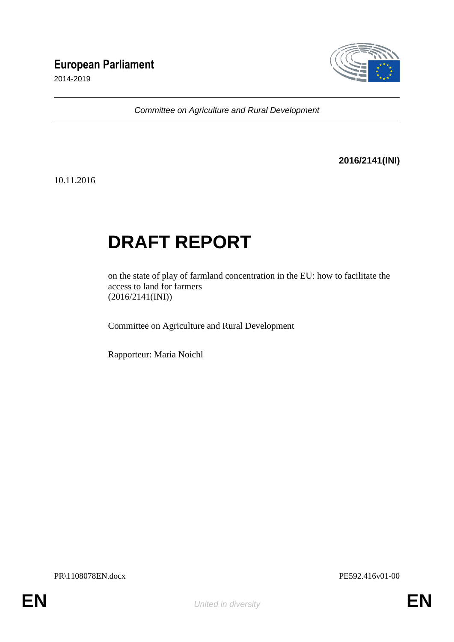# **European Parliament**

2014-2019



*Committee on Agriculture and Rural Development*

# **2016/2141(INI)**

10.11.2016

# **DRAFT REPORT**

on the state of play of farmland concentration in the EU: how to facilitate the access to land for farmers (2016/2141(INI))

Committee on Agriculture and Rural Development

Rapporteur: Maria Noichl

PR\1108078EN.docx PE592.416v01-00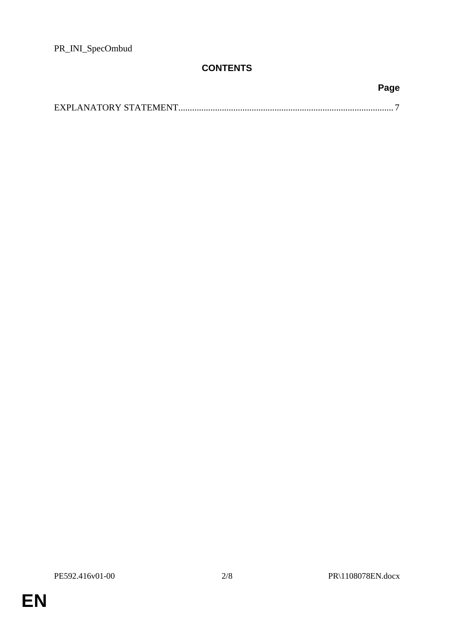PR\_INI\_SpecOmbud

# **CONTENTS**

| Page |
|------|
|      |

PE592.416v01-00 2/8 PR\1108078EN.docx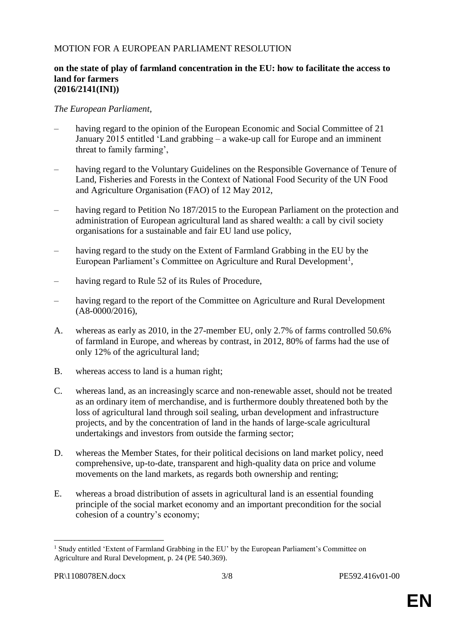# MOTION FOR A EUROPEAN PARLIAMENT RESOLUTION

#### **on the state of play of farmland concentration in the EU: how to facilitate the access to land for farmers (2016/2141(INI))**

*The European Parliament*,

- having regard to the opinion of the European Economic and Social Committee of 21 January 2015 entitled 'Land grabbing – a wake-up call for Europe and an imminent threat to family farming',
- having regard to the Voluntary Guidelines on the Responsible Governance of Tenure of Land, Fisheries and Forests in the Context of National Food Security of the UN Food and Agriculture Organisation (FAO) of 12 May 2012,
- having regard to Petition No 187/2015 to the European Parliament on the protection and administration of European agricultural land as shared wealth: a call by civil society organisations for a sustainable and fair EU land use policy,
- having regard to the study on the Extent of Farmland Grabbing in the EU by the European Parliament's Committee on Agriculture and Rural Development<sup>1</sup>,
- having regard to Rule 52 of its Rules of Procedure,
- having regard to the report of the Committee on Agriculture and Rural Development (A8-0000/2016),
- A. whereas as early as 2010, in the 27-member EU, only 2.7% of farms controlled 50.6% of farmland in Europe, and whereas by contrast, in 2012, 80% of farms had the use of only 12% of the agricultural land;
- B. whereas access to land is a human right;
- C. whereas land, as an increasingly scarce and non-renewable asset, should not be treated as an ordinary item of merchandise, and is furthermore doubly threatened both by the loss of agricultural land through soil sealing, urban development and infrastructure projects, and by the concentration of land in the hands of large-scale agricultural undertakings and investors from outside the farming sector;
- D. whereas the Member States, for their political decisions on land market policy, need comprehensive, up-to-date, transparent and high-quality data on price and volume movements on the land markets, as regards both ownership and renting;
- E. whereas a broad distribution of assets in agricultural land is an essential founding principle of the social market economy and an important precondition for the social cohesion of a country's economy;

 $\overline{a}$ 

<sup>&</sup>lt;sup>1</sup> Study entitled 'Extent of Farmland Grabbing in the EU' by the European Parliament's Committee on Agriculture and Rural Development, p. 24 (PE 540.369).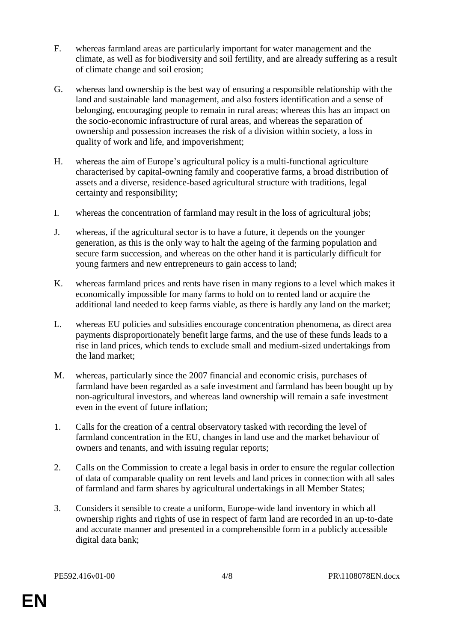- F. whereas farmland areas are particularly important for water management and the climate, as well as for biodiversity and soil fertility, and are already suffering as a result of climate change and soil erosion;
- G. whereas land ownership is the best way of ensuring a responsible relationship with the land and sustainable land management, and also fosters identification and a sense of belonging, encouraging people to remain in rural areas; whereas this has an impact on the socio-economic infrastructure of rural areas, and whereas the separation of ownership and possession increases the risk of a division within society, a loss in quality of work and life, and impoverishment;
- H. whereas the aim of Europe's agricultural policy is a multi-functional agriculture characterised by capital-owning family and cooperative farms, a broad distribution of assets and a diverse, residence-based agricultural structure with traditions, legal certainty and responsibility;
- I. whereas the concentration of farmland may result in the loss of agricultural jobs;
- J. whereas, if the agricultural sector is to have a future, it depends on the younger generation, as this is the only way to halt the ageing of the farming population and secure farm succession, and whereas on the other hand it is particularly difficult for young farmers and new entrepreneurs to gain access to land;
- K. whereas farmland prices and rents have risen in many regions to a level which makes it economically impossible for many farms to hold on to rented land or acquire the additional land needed to keep farms viable, as there is hardly any land on the market;
- L. whereas EU policies and subsidies encourage concentration phenomena, as direct area payments disproportionately benefit large farms, and the use of these funds leads to a rise in land prices, which tends to exclude small and medium-sized undertakings from the land market;
- M. whereas, particularly since the 2007 financial and economic crisis, purchases of farmland have been regarded as a safe investment and farmland has been bought up by non-agricultural investors, and whereas land ownership will remain a safe investment even in the event of future inflation;
- 1. Calls for the creation of a central observatory tasked with recording the level of farmland concentration in the EU, changes in land use and the market behaviour of owners and tenants, and with issuing regular reports;
- 2. Calls on the Commission to create a legal basis in order to ensure the regular collection of data of comparable quality on rent levels and land prices in connection with all sales of farmland and farm shares by agricultural undertakings in all Member States;
- 3. Considers it sensible to create a uniform, Europe-wide land inventory in which all ownership rights and rights of use in respect of farm land are recorded in an up-to-date and accurate manner and presented in a comprehensible form in a publicly accessible digital data bank;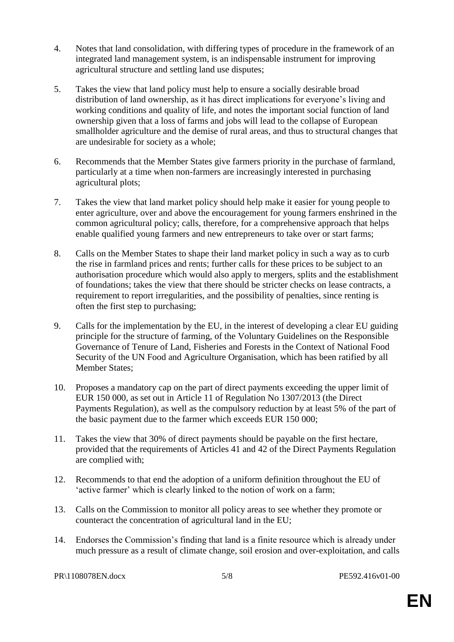- 4. Notes that land consolidation, with differing types of procedure in the framework of an integrated land management system, is an indispensable instrument for improving agricultural structure and settling land use disputes;
- 5. Takes the view that land policy must help to ensure a socially desirable broad distribution of land ownership, as it has direct implications for everyone's living and working conditions and quality of life, and notes the important social function of land ownership given that a loss of farms and jobs will lead to the collapse of European smallholder agriculture and the demise of rural areas, and thus to structural changes that are undesirable for society as a whole;
- 6. Recommends that the Member States give farmers priority in the purchase of farmland, particularly at a time when non-farmers are increasingly interested in purchasing agricultural plots;
- 7. Takes the view that land market policy should help make it easier for young people to enter agriculture, over and above the encouragement for young farmers enshrined in the common agricultural policy; calls, therefore, for a comprehensive approach that helps enable qualified young farmers and new entrepreneurs to take over or start farms;
- 8. Calls on the Member States to shape their land market policy in such a way as to curb the rise in farmland prices and rents; further calls for these prices to be subject to an authorisation procedure which would also apply to mergers, splits and the establishment of foundations; takes the view that there should be stricter checks on lease contracts, a requirement to report irregularities, and the possibility of penalties, since renting is often the first step to purchasing;
- 9. Calls for the implementation by the EU, in the interest of developing a clear EU guiding principle for the structure of farming, of the Voluntary Guidelines on the Responsible Governance of Tenure of Land, Fisheries and Forests in the Context of National Food Security of the UN Food and Agriculture Organisation, which has been ratified by all Member States;
- 10. Proposes a mandatory cap on the part of direct payments exceeding the upper limit of EUR 150 000, as set out in Article 11 of Regulation No 1307/2013 (the Direct Payments Regulation), as well as the compulsory reduction by at least 5% of the part of the basic payment due to the farmer which exceeds EUR 150 000;
- 11. Takes the view that 30% of direct payments should be payable on the first hectare, provided that the requirements of Articles 41 and 42 of the Direct Payments Regulation are complied with;
- 12. Recommends to that end the adoption of a uniform definition throughout the EU of 'active farmer' which is clearly linked to the notion of work on a farm;
- 13. Calls on the Commission to monitor all policy areas to see whether they promote or counteract the concentration of agricultural land in the EU;
- 14. Endorses the Commission's finding that land is a finite resource which is already under much pressure as a result of climate change, soil erosion and over-exploitation, and calls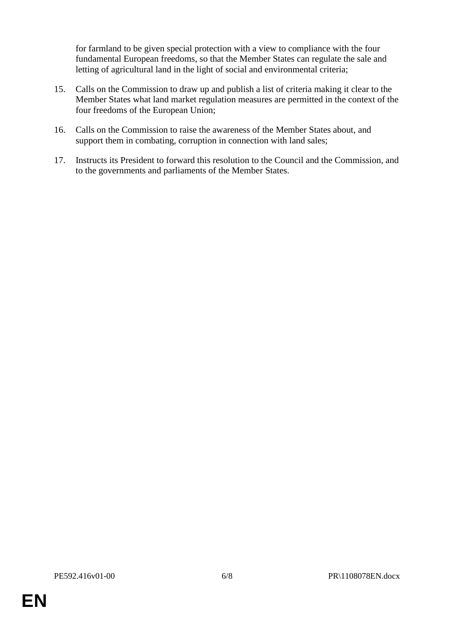for farmland to be given special protection with a view to compliance with the four fundamental European freedoms, so that the Member States can regulate the sale and letting of agricultural land in the light of social and environmental criteria;

- 15. Calls on the Commission to draw up and publish a list of criteria making it clear to the Member States what land market regulation measures are permitted in the context of the four freedoms of the European Union;
- 16. Calls on the Commission to raise the awareness of the Member States about, and support them in combating, corruption in connection with land sales;
- 17. Instructs its President to forward this resolution to the Council and the Commission, and to the governments and parliaments of the Member States.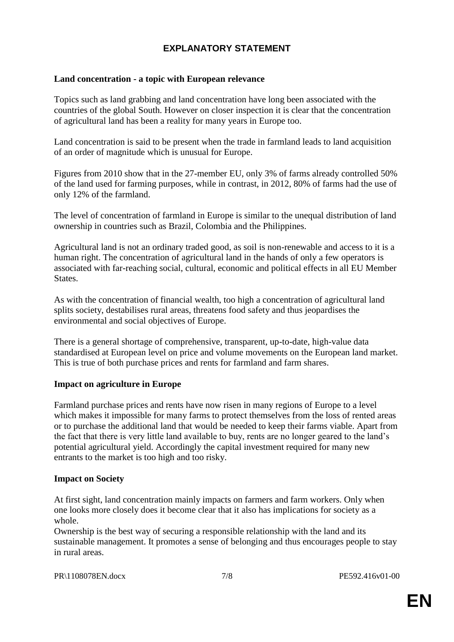# **EXPLANATORY STATEMENT**

#### **Land concentration - a topic with European relevance**

Topics such as land grabbing and land concentration have long been associated with the countries of the global South. However on closer inspection it is clear that the concentration of agricultural land has been a reality for many years in Europe too.

Land concentration is said to be present when the trade in farmland leads to land acquisition of an order of magnitude which is unusual for Europe.

Figures from 2010 show that in the 27-member EU, only 3% of farms already controlled 50% of the land used for farming purposes, while in contrast, in 2012, 80% of farms had the use of only 12% of the farmland.

The level of concentration of farmland in Europe is similar to the unequal distribution of land ownership in countries such as Brazil, Colombia and the Philippines.

Agricultural land is not an ordinary traded good, as soil is non-renewable and access to it is a human right. The concentration of agricultural land in the hands of only a few operators is associated with far-reaching social, cultural, economic and political effects in all EU Member States.

As with the concentration of financial wealth, too high a concentration of agricultural land splits society, destabilises rural areas, threatens food safety and thus jeopardises the environmental and social objectives of Europe.

There is a general shortage of comprehensive, transparent, up-to-date, high-value data standardised at European level on price and volume movements on the European land market. This is true of both purchase prices and rents for farmland and farm shares.

## **Impact on agriculture in Europe**

Farmland purchase prices and rents have now risen in many regions of Europe to a level which makes it impossible for many farms to protect themselves from the loss of rented areas or to purchase the additional land that would be needed to keep their farms viable. Apart from the fact that there is very little land available to buy, rents are no longer geared to the land's potential agricultural yield. Accordingly the capital investment required for many new entrants to the market is too high and too risky.

#### **Impact on Society**

At first sight, land concentration mainly impacts on farmers and farm workers. Only when one looks more closely does it become clear that it also has implications for society as a whole.

Ownership is the best way of securing a responsible relationship with the land and its sustainable management. It promotes a sense of belonging and thus encourages people to stay in rural areas.

PR\1108078EN.docx 7/8 PE592.416v01-00